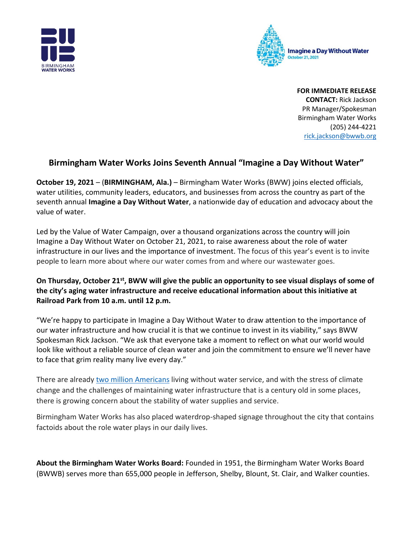



**FOR IMMEDIATE RELEASE CONTACT:** Rick Jackson PR Manager/Spokesman Birmingham Water Works (205) 244-4221 [rick.jackson@bwwb.org](mailto:rick.jackson@bwwb.org)

## **Birmingham Water Works Joins Seventh Annual "Imagine a Day Without Water"**

**October 19, 2021** – (**BIRMINGHAM, Ala.)** – Birmingham Water Works (BWW) joins elected officials, water utilities, community leaders, educators, and businesses from across the country as part of the seventh annual **Imagine a Day Without Water**, a nationwide day of education and advocacy about the value of water.

Led by the Value of Water Campaign, over a thousand organizations across the country will join Imagine a Day Without Water on October 21, 2021, to raise awareness about the role of water infrastructure in our lives and the importance of investment. The focus of this year's event is to invite people to learn more about where our water comes from and where our wastewater goes.

## **On Thursday, October 21st, BWW will give the public an opportunity to see visual displays of some of the city's aging water infrastructure and receive educational information about this initiative at Railroad Park from 10 a.m. until 12 p.m.**

"We're happy to participate in Imagine a Day Without Water to draw attention to the importance of our water infrastructure and how crucial it is that we continue to invest in its viability," says BWW Spokesman Rick Jackson. "We ask that everyone take a moment to reflect on what our world would look like without a reliable source of clean water and join the commitment to ensure we'll never have to face that grim reality many live every day."

There are already [two million](http://uswateralliance.org/sites/uswateralliance.org/files/publications/Closing%20the%20Water%20Access%20Gap%20in%20the%20United%20States_DIGITAL.pdf) Americans living without water service, and with the stress of climate change and the challenges of maintaining water infrastructure that is a century old in some places, there is growing concern about the stability of water supplies and service.

Birmingham Water Works has also placed waterdrop-shaped signage throughout the city that contains factoids about the role water plays in our daily lives.

**About the Birmingham Water Works Board:** Founded in 1951, the Birmingham Water Works Board (BWWB) serves more than 655,000 people in Jefferson, Shelby, Blount, St. Clair, and Walker counties.